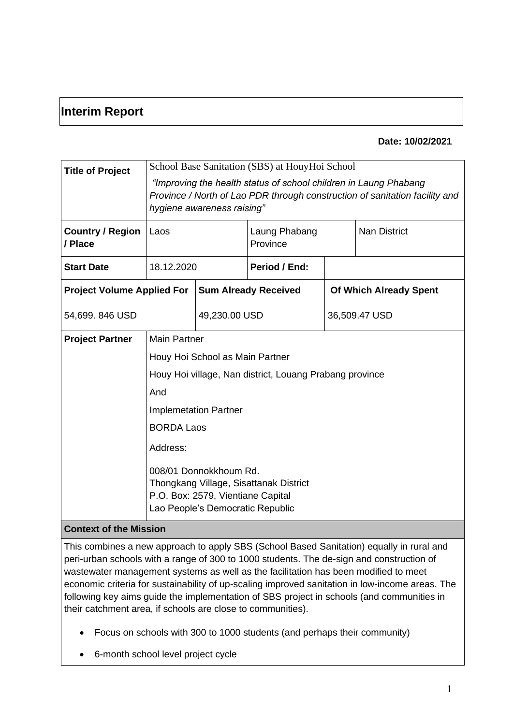# **Interim Report**

#### **Date: 10/02/2021**

| <b>Title of Project</b><br><b>Country / Region</b> | School Base Sanitation (SBS) at HouyHoi School<br>"Improving the health status of school children in Laung Phabang<br>Province / North of Lao PDR through construction of sanitation facility and<br>hygiene awareness raising"<br><b>Nan District</b><br>Laung Phabang<br>Laos                                                        |                             |               |                               |  |
|----------------------------------------------------|----------------------------------------------------------------------------------------------------------------------------------------------------------------------------------------------------------------------------------------------------------------------------------------------------------------------------------------|-----------------------------|---------------|-------------------------------|--|
| / Place                                            |                                                                                                                                                                                                                                                                                                                                        |                             | Province      |                               |  |
| <b>Start Date</b>                                  | 18.12.2020                                                                                                                                                                                                                                                                                                                             |                             | Period / End: |                               |  |
| <b>Project Volume Applied For</b>                  |                                                                                                                                                                                                                                                                                                                                        | <b>Sum Already Received</b> |               | <b>Of Which Already Spent</b> |  |
| 54,699. 846 USD                                    |                                                                                                                                                                                                                                                                                                                                        | 49,230.00 USD               |               | 36,509.47 USD                 |  |
| <b>Project Partner</b>                             | <b>Main Partner</b><br>Houy Hoi School as Main Partner<br>Houy Hoi village, Nan district, Louang Prabang province<br>And<br><b>Implemetation Partner</b><br><b>BORDA Laos</b><br>Address:<br>008/01 Donnokkhoum Rd.<br>Thongkang Village, Sisattanak District<br>P.O. Box: 2579, Vientiane Capital<br>Lao People's Democratic Republic |                             |               |                               |  |
| <b>Context of the Mission</b>                      |                                                                                                                                                                                                                                                                                                                                        |                             |               |                               |  |

This combines a new approach to apply SBS (School Based Sanitation) equally in rural and peri-urban schools with a range of 300 to 1000 students. The de-sign and construction of wastewater management systems as well as the facilitation has been modified to meet economic criteria for sustainability of up-scaling improved sanitation in low-income areas. The following key aims guide the implementation of SBS project in schools (and communities in their catchment area, if schools are close to communities).

- Focus on schools with 300 to 1000 students (and perhaps their community)
- 6-month school level project cycle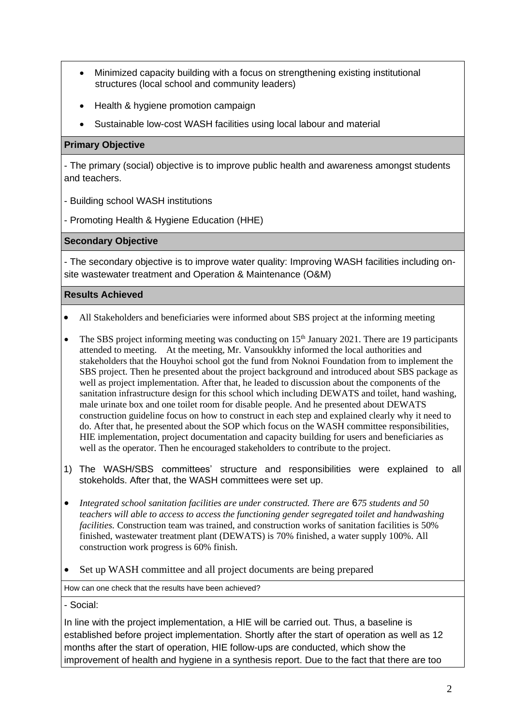- Minimized capacity building with a focus on strengthening existing institutional structures (local school and community leaders)
- Health & hygiene promotion campaign
- Sustainable low-cost WASH facilities using local labour and material

## **Primary Objective**

- The primary (social) objective is to improve public health and awareness amongst students and teachers.

- Building school WASH institutions
- Promoting Health & Hygiene Education (HHE)

#### **Secondary Objective**

- The secondary objective is to improve water quality: Improving WASH facilities including onsite wastewater treatment and Operation & Maintenance (O&M)

#### **Results Achieved**

- All Stakeholders and beneficiaries were informed about SBS project at the informing meeting
- The SBS project informing meeting was conducting on  $15<sup>th</sup>$  January 2021. There are 19 participants attended to meeting. At the meeting, Mr. Vansoukkhy informed the local authorities and stakeholders that the Houyhoi school got the fund from Noknoi Foundation from to implement the SBS project. Then he presented about the project background and introduced about SBS package as well as project implementation. After that, he leaded to discussion about the components of the sanitation infrastructure design for this school which including DEWATS and toilet, hand washing, male urinate box and one toilet room for disable people. And he presented about DEWATS construction guideline focus on how to construct in each step and explained clearly why it need to do. After that, he presented about the SOP which focus on the WASH committee responsibilities, HIE implementation, project documentation and capacity building for users and beneficiaries as well as the operator. Then he encouraged stakeholders to contribute to the project.
- 1) The WASH/SBS committees' structure and responsibilities were explained to all stokeholds. After that, the WASH committees were set up.
- *Integrated school sanitation facilities are under constructed. There are* 6*75 students and 50 teachers will able to access to access the functioning gender segregated toilet and handwashing facilities.* Construction team was trained, and construction works of sanitation facilities is 50% finished, wastewater treatment plant (DEWATS) is 70% finished, a water supply 100%. All construction work progress is 60% finish.
- Set up WASH committee and all project documents are being prepared

How can one check that the results have been achieved?

- Social:

In line with the project implementation, a HIE will be carried out. Thus, a baseline is established before project implementation. Shortly after the start of operation as well as 12 months after the start of operation, HIE follow-ups are conducted, which show the improvement of health and hygiene in a synthesis report. Due to the fact that there are too